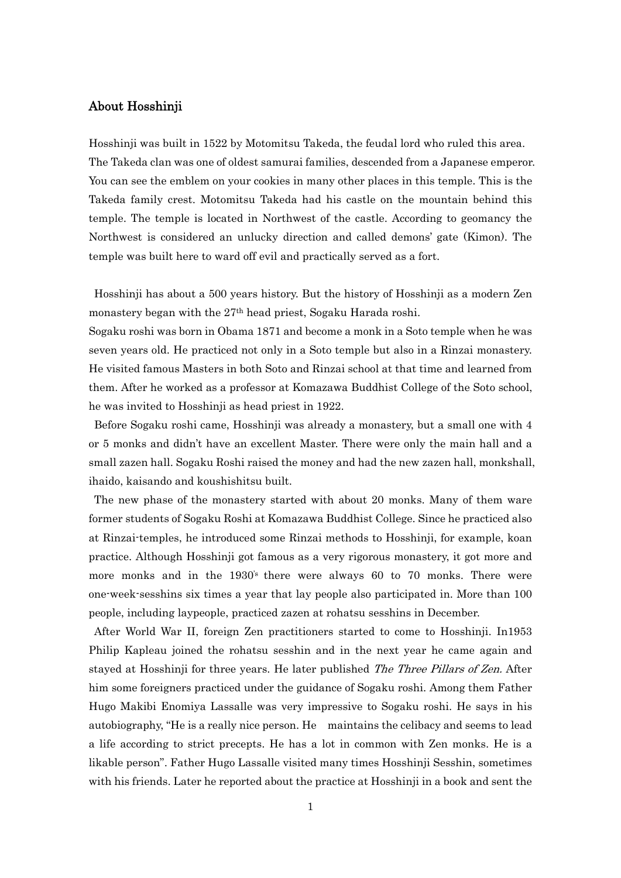# About Hosshinji

Hosshinji was built in 1522 by Motomitsu Takeda, the feudal lord who ruled this area. The Takeda clan was one of oldest samurai families, descended from a Japanese emperor. You can see the emblem on your cookies in many other places in this temple. This is the Takeda family crest. Motomitsu Takeda had his castle on the mountain behind this temple. The temple is located in Northwest of the castle. According to geomancy the Northwest is considered an unlucky direction and called demons' gate (Kimon). The temple was built here to ward off evil and practically served as a fort.

Hosshinji has about a 500 years history. But the history of Hosshinji as a modern Zen monastery began with the 27th head priest, Sogaku Harada roshi.

Sogaku roshi was born in Obama 1871 and become a monk in a Soto temple when he was seven years old. He practiced not only in a Soto temple but also in a Rinzai monastery. He visited famous Masters in both Soto and Rinzai school at that time and learned from them. After he worked as a professor at Komazawa Buddhist College of the Soto school, he was invited to Hosshinii as head priest in 1922.

Before Sogaku roshi came, Hosshinji was already a monastery, but a small one with 4 or 5 monks and didn't have an excellent Master. There were only the main hall and a small zazen hall. Sogaku Roshi raised the money and had the new zazen hall, monkshall, ihaido, kaisando and koushishitsu built.

The new phase of the monastery started with about 20 monks. Many of them ware former students of Sogaku Roshi at Komazawa Buddhist College. Since he practiced also at Rinzai-temples, he introduced some Rinzai methods to Hosshinji, for example, koan practice. Although Hosshinji got famous as a very rigorous monastery, it got more and more monks and in the 1930's there were always 60 to 70 monks. There were one-week-sesshins six times a year that lay people also participated in. More than 100 people, including laypeople, practiced zazen at rohatsu sesshins in December.

After World War II, foreign Zen practitioners started to come to Hosshinji. In1953 Philip Kapleau joined the rohatsu sesshin and in the next year he came again and stayed at Hosshinji for three years. He later published *The Three Pillars of Zen*. After him some foreigners practiced under the guidance of Sogaku roshi. Among them Father Hugo Makibi Enomiya Lassalle was very impressive to Sogaku roshi. He says in his autobiography, "He is a really nice person. He maintains the celibacy and seems to lead a life according to strict precepts. He has a lot in common with Zen monks. He is a likable person". Father Hugo Lassalle visited many times Hosshinji Sesshin, sometimes with his friends. Later he reported about the practice at Hosshinji in a book and sent the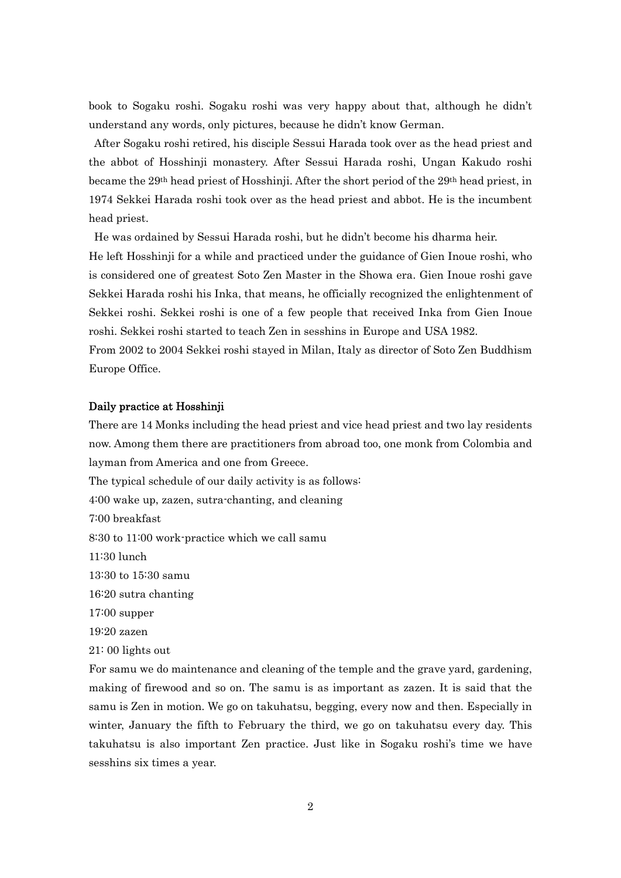book to Sogaku roshi. Sogaku roshi was very happy about that, although he didn't understand any words, only pictures, because he didn't know German.

After Sogaku roshi retired, his disciple Sessui Harada took over as the head priest and the abbot of Hosshinji monastery. After Sessui Harada roshi, Ungan Kakudo roshi became the 29<sup>th</sup> head priest of Hosshinji. After the short period of the 29<sup>th</sup> head priest, in 1974 Sekkei Harada roshi took over as the head priest and abbot. He is the incumbent head priest.

He was ordained by Sessui Harada roshi, but he didn't become his dharma heir.

He left Hosshinji for a while and practiced under the guidance of Gien Inoue roshi, who is considered one of greatest Soto Zen Master in the Showa era. Gien Inoue roshi gave Sekkei Harada roshi his Inka, that means, he officially recognized the enlightenment of Sekkei roshi. Sekkei roshi is one of a few people that received Inka from Gien Inoue roshi. Sekkei roshi started to teach Zen in sesshins in Europe and USA 1982.

From 2002 to 2004 Sekkei roshi stayed in Milan, Italy as director of Soto Zen Buddhism Europe Office.

#### Daily practice at Hosshinji

There are 14 Monks including the head priest and vice head priest and two lay residents now. Among them there are practitioners from abroad too, one monk from Colombia and layman from America and one from Greece.

The typical schedule of our daily activity is as follows:

4:00 wake up, zazen, sutra-chanting, and cleaning

7:00 breakfast

8:30 to 11:00 work-practice which we call samu

11:30 lunch

13:30 to 15:30 samu

16:20 sutra chanting

17:00 supper

19:20 zazen

21: 00 lights out

For samu we do maintenance and cleaning of the temple and the grave yard, gardening, making of firewood and so on. The samu is as important as zazen. It is said that the samu is Zen in motion. We go on takuhatsu, begging, every now and then. Especially in winter, January the fifth to February the third, we go on takuhatsu every day. This takuhatsu is also important Zen practice. Just like in Sogaku roshi's time we have sesshins six times a year.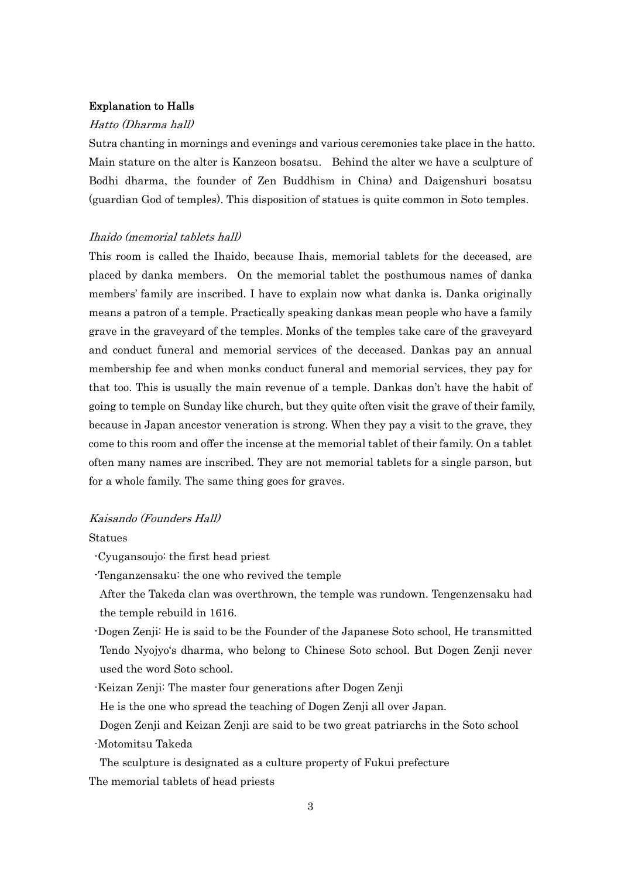### Explanation to Halls

#### Hatto (Dharma hall)

Sutra chanting in mornings and evenings and various ceremonies take place in the hatto. Main stature on the alter is Kanzeon bosatsu. Behind the alter we have a sculpture of Bodhi dharma, the founder of Zen Buddhism in China) and Daigenshuri bosatsu (guardian God of temples). This disposition of statues is quite common in Soto temples.

### Ihaido (memorial tablets hall)

This room is called the Ihaido, because Ihais, memorial tablets for the deceased, are placed by danka members. On the memorial tablet the posthumous names of danka members' family are inscribed. I have to explain now what danka is. Danka originally means a patron of a temple. Practically speaking dankas mean people who have a family grave in the graveyard of the temples. Monks of the temples take care of the graveyard and conduct funeral and memorial services of the deceased. Dankas pay an annual membership fee and when monks conduct funeral and memorial services, they pay for that too. This is usually the main revenue of a temple. Dankas don't have the habit of going to temple on Sunday like church, but they quite often visit the grave of their family, because in Japan ancestor veneration is strong. When they pay a visit to the grave, they come to this room and offer the incense at the memorial tablet of their family. On a tablet often many names are inscribed. They are not memorial tablets for a single parson, but for a whole family. The same thing goes for graves.

### Kaisando (Founders Hall)

#### Statues

- -Cyugansoujo: the first head priest
- -Tenganzensaku: the one who revived the temple
- After the Takeda clan was overthrown, the temple was rundown. Tengenzensaku had the temple rebuild in 1616.
- -Dogen Zenji: He is said to be the Founder of the Japanese Soto school, He transmitted Tendo Nyojyo's dharma, who belong to Chinese Soto school. But Dogen Zenji never used the word Soto school.
- -Keizan Zenji: The master four generations after Dogen Zenji
- He is the one who spread the teaching of Dogen Zenji all over Japan.
- Dogen Zenji and Keizan Zenji are said to be two great patriarchs in the Soto school -Motomitsu Takeda
- The sculpture is designated as a culture property of Fukui prefecture The memorial tablets of head priests